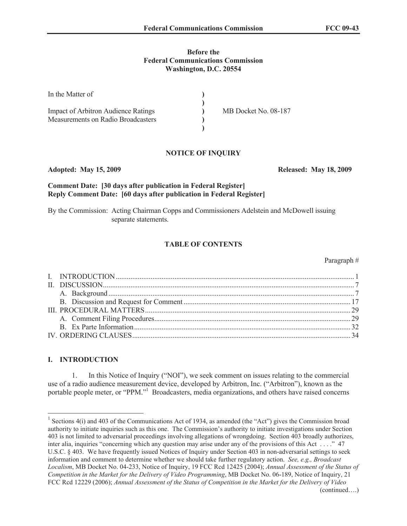### **Before the Federal Communications Commission Washington, D.C. 20554**

| In the Matter of                           |                      |
|--------------------------------------------|----------------------|
|                                            |                      |
| <b>Impact of Arbitron Audience Ratings</b> | MB Docket No. 08-187 |
| Measurements on Radio Broadcasters         |                      |
|                                            |                      |

### **NOTICE OF INQUIRY**

### **Adopted: May 15, 2009 Released: May 18, 2009**

# **Comment Date: [30 days after publication in Federal Register] Reply Comment Date: [60 days after publication in Federal Register]**

By the Commission: Acting Chairman Copps and Commissioners Adelstein and McDowell issuing separate statements.

## **TABLE OF CONTENTS**

#### Paragraph #

### **I. INTRODUCTION**

1. In this Notice of Inquiry ("NOI"), we seek comment on issues relating to the commercial use of a radio audience measurement device, developed by Arbitron, Inc. ("Arbitron"), known as the portable people meter, or "PPM."<sup>1</sup> Broadcasters, media organizations, and others have raised concerns

<sup>&</sup>lt;sup>1</sup> Sections 4(i) and 403 of the Communications Act of 1934, as amended (the "Act") gives the Commission broad authority to initiate inquiries such as this one. The Commission's authority to initiate investigations under Section 403 is not limited to adversarial proceedings involving allegations of wrongdoing. Section 403 broadly authorizes, inter alia, inquiries "concerning which any question may arise under any of the provisions of this Act . . . ." 47 U.S.C. § 403. We have frequently issued Notices of Inquiry under Section 403 in non-adversarial settings to seek information and comment to determine whether we should take further regulatory action. *See, e.g., Broadcast Localism*, MB Docket No. 04-233, Notice of Inquiry, 19 FCC Rcd 12425 (2004); *Annual Assessment of the Status of Competition in the Market for the Delivery of Video Programming*, MB Docket No. 06-189, Notice of Inquiry, 21 FCC Rcd 12229 (2006); *Annual Assessment of the Status of Competition in the Market for the Delivery of Video*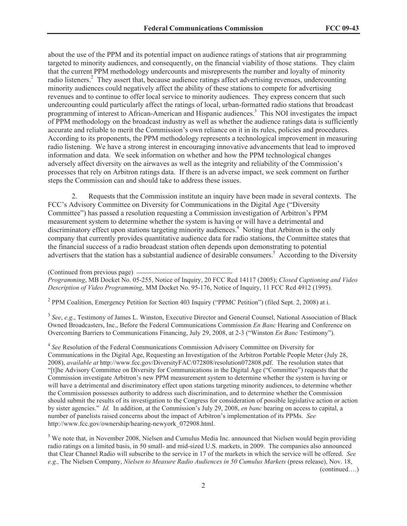about the use of the PPM and its potential impact on audience ratings of stations that air programming targeted to minority audiences, and consequently, on the financial viability of those stations. They claim that the current PPM methodology undercounts and misrepresents the number and loyalty of minority radio listeners.<sup>2</sup> They assert that, because audience ratings affect advertising revenues, undercounting minority audiences could negatively affect the ability of these stations to compete for advertising revenues and to continue to offer local service to minority audiences. They express concern that such undercounting could particularly affect the ratings of local, urban-formatted radio stations that broadcast programming of interest to African-American and Hispanic audiences.<sup>3</sup> This NOI investigates the impact of PPM methodology on the broadcast industry as well as whether the audience ratings data is sufficiently accurate and reliable to merit the Commission's own reliance on it in its rules, policies and procedures. According to its proponents, the PPM methodology represents a technological improvement in measuring radio listening. We have a strong interest in encouraging innovative advancements that lead to improved information and data. We seek information on whether and how the PPM technological changes adversely affect diversity on the airwaves as well as the integrity and reliability of the Commission's processes that rely on Arbitron ratings data. If there is an adverse impact, we seek comment on further steps the Commission can and should take to address these issues.

2. Requests that the Commission institute an inquiry have been made in several contexts. The FCC's Advisory Committee on Diversity for Communications in the Digital Age ("Diversity Committee") has passed a resolution requesting a Commission investigation of Arbitron's PPM measurement system to determine whether the system is having or will have a detrimental and discriminatory effect upon stations targeting minority audiences.<sup>4</sup> Noting that Arbitron is the only company that currently provides quantitative audience data for radio stations, the Committee states that the financial success of a radio broadcast station often depends upon demonstrating to potential advertisers that the station has a substantial audience of desirable consumers.<sup>5</sup> According to the Diversity

(Continued from previous page)

*Programming*, MB Docket No. 05-255, Notice of Inquiry, 20 FCC Rcd 14117 (2005); *Closed Captioning and Video Description of Video Programming*, MM Docket No. 95-176, Notice of Inquiry, 11 FCC Rcd 4912 (1995).

<sup>2</sup> PPM Coalition, Emergency Petition for Section 403 Inquiry ("PPMC Petition") (filed Sept. 2, 2008) at i.

<sup>3</sup> See, e.g., Testimony of James L. Winston, Executive Director and General Counsel, National Association of Black Owned Broadcasters, Inc., Before the Federal Communications Commission *En Banc* Hearing and Conference on Overcoming Barriers to Communications Financing, July 29, 2008, at 2-3 ("Winston *En Banc* Testimony").

4 *See* Resolution of the Federal Communications Commission Advisory Committee on Diversity for Communications in the Digital Age, Requesting an Investigation of the Arbitron Portable People Meter (July 28, 2008), *available at* http://www.fcc.gov/DiversityFAC/072808/resolution072808.pdf. The resolution states that "[t]he Advisory Committee on Diversity for Communications in the Digital Age ("Committee") requests that the Commission investigate Arbitron's new PPM measurement system to determine whether the system is having or will have a detrimental and discriminatory effect upon stations targeting minority audiences, to determine whether the Commission possesses authority to address such discrimination, and to determine whether the Commission should submit the results of its investigation to the Congress for consideration of possible legislative action or action by sister agencies." *Id.* In addition, at the Commission's July 29, 2008, *en banc* hearing on access to capital, a number of panelists raised concerns about the impact of Arbitron's implementation of its PPMs. *See* http://www.fcc.gov/ownership/hearing-newyork\_072908.html.

<sup>5</sup> We note that, in November 2008, Nielsen and Cumulus Media Inc. announced that Nielsen would begin providing radio ratings on a limited basis, in 50 small- and mid-sized U.S. markets, in 2009. The companies also announced that Clear Channel Radio will subscribe to the service in 17 of the markets in which the service will be offered. *See e.g.,* The Nielsen Company, *Nielsen to Measure Radio Audiences in 50 Cumulus Markets* (press release), Nov. 18, (continued….)

2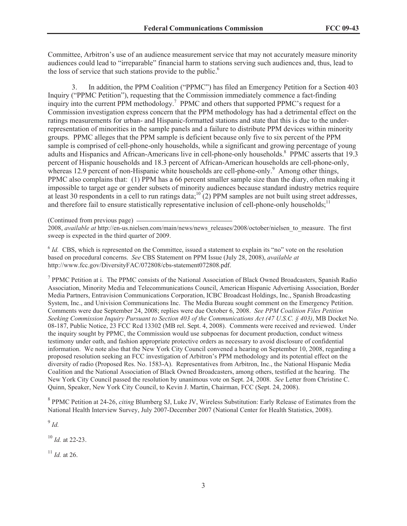Committee, Arbitron's use of an audience measurement service that may not accurately measure minority audiences could lead to "irreparable" financial harm to stations serving such audiences and, thus, lead to the loss of service that such stations provide to the public.<sup>6</sup>

3. In addition, the PPM Coalition ("PPMC") has filed an Emergency Petition for a Section 403 Inquiry ("PPMC Petition"), requesting that the Commission immediately commence a fact-finding inquiry into the current PPM methodology.<sup>7</sup> PPMC and others that supported PPMC's request for a Commission investigation express concern that the PPM methodology has had a detrimental effect on the ratings measurements for urban- and Hispanic-formatted stations and state that this is due to the underrepresentation of minorities in the sample panels and a failure to distribute PPM devices within minority groups. PPMC alleges that the PPM sample is deficient because only five to six percent of the PPM sample is comprised of cell-phone-only households, while a significant and growing percentage of young adults and Hispanics and African-Americans live in cell-phone-only households.<sup>8</sup> PPMC asserts that 19.3 percent of Hispanic households and 18.3 percent of African-American households are cell-phone-only, whereas 12.9 percent of non-Hispanic white households are cell-phone-only.<sup>9</sup> Among other things, PPMC also complains that: (1) PPM has a 66 percent smaller sample size than the diary, often making it impossible to target age or gender subsets of minority audiences because standard industry metrics require at least 30 respondents in a cell to run ratings data; $10^{\circ}(2)$  PPM samples are not built using street addresses, and therefore fail to ensure statistically representative inclusion of cell-phone-only households;<sup>11</sup>

(Continued from previous page)

2008, *available at* http://en-us.nielsen.com/main/news/news\_releases/2008/october/nielsen\_to\_measure. The first sweep is expected in the third quarter of 2009.

<sup>6</sup> *Id.* CBS, which is represented on the Committee, issued a statement to explain its "no" vote on the resolution based on procedural concerns. *See* CBS Statement on PPM Issue (July 28, 2008), *available at* http://www.fcc.gov/DiversityFAC/072808/cbs-statement072808.pdf.

<sup>7</sup> PPMC Petition at i. The PPMC consists of the National Association of Black Owned Broadcasters, Spanish Radio Association, Minority Media and Telecommunications Council, American Hispanic Advertising Association, Border Media Partners, Entravision Communications Corporation, ICBC Broadcast Holdings, Inc., Spanish Broadcasting System, Inc., and Univision Communications Inc. The Media Bureau sought comment on the Emergency Petition. Comments were due September 24, 2008; replies were due October 6, 2008. *See PPM Coalition Files Petition Seeking Commission Inquiry Pursuant to Section 403 of the Communications Act (47 U.S.C. § 403)*, MB Docket No. 08-187, Public Notice, 23 FCC Rcd 13302 (MB rel. Sept. 4, 2008). Comments were received and reviewed. Under the inquiry sought by PPMC, the Commission would use subpoenas for document production, conduct witness testimony under oath, and fashion appropriate protective orders as necessary to avoid disclosure of confidential information. We note also that the New York City Council convened a hearing on September 10, 2008, regarding a proposed resolution seeking an FCC investigation of Arbitron's PPM methodology and its potential effect on the diversity of radio (Proposed Res. No. 1583-A). Representatives from Arbitron, Inc., the National Hispanic Media Coalition and the National Association of Black Owned Broadcasters, among others, testified at the hearing. The New York City Council passed the resolution by unanimous vote on Sept. 24, 2008. *See* Letter from Christine C. Quinn, Speaker, New York City Council, to Kevin J. Martin, Chairman, FCC (Sept. 24, 2008).

8 PPMC Petition at 24-26, *citing* Blumberg SJ, Luke JV, Wireless Substitution: Early Release of Estimates from the National Health Interview Survey, July 2007-December 2007 (National Center for Health Statistics, 2008).

9 *Id.*

<sup>10</sup> *Id.* at 22-23.

 $^{11}$  *Id.* at 26.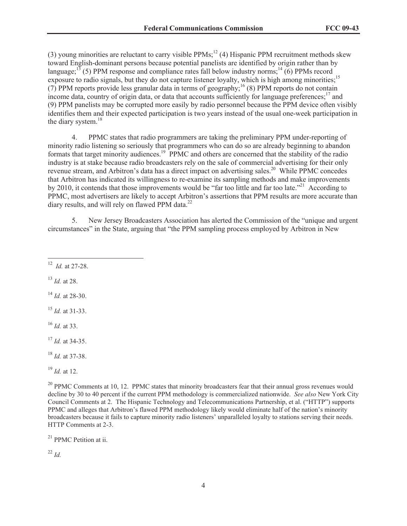(3) young minorities are reluctant to carry visible PPMs;<sup>12</sup> (4) Hispanic PPM recruitment methods skew toward English-dominant persons because potential panelists are identified by origin rather than by language;<sup>13</sup> (5) PPM response and compliance rates fall below industry norms;<sup>14</sup> (6) PPMs record exposure to radio signals, but they do not capture listener loyalty, which is high among minorities:<sup>15</sup> (7) PPM reports provide less granular data in terms of geography;<sup>16</sup> (8) PPM reports do not contain income data, country of origin data, or data that accounts sufficiently for language preferences; $^{17}$  and (9) PPM panelists may be corrupted more easily by radio personnel because the PPM device often visibly identifies them and their expected participation is two years instead of the usual one-week participation in the diary system.<sup>18</sup>

4. PPMC states that radio programmers are taking the preliminary PPM under-reporting of minority radio listening so seriously that programmers who can do so are already beginning to abandon formats that target minority audiences.<sup>19</sup> PPMC and others are concerned that the stability of the radio industry is at stake because radio broadcasters rely on the sale of commercial advertising for their only revenue stream, and Arbitron's data has a direct impact on advertising sales.<sup>20</sup> While PPMC concedes that Arbitron has indicated its willingness to re-examine its sampling methods and make improvements by 2010, it contends that those improvements would be "far too little and far too late."<sup>21</sup> According to PPMC, most advertisers are likely to accept Arbitron's assertions that PPM results are more accurate than diary results, and will rely on flawed PPM data. $^{22}$ 

5. New Jersey Broadcasters Association has alerted the Commission of the "unique and urgent circumstances" in the State, arguing that "the PPM sampling process employed by Arbitron in New

<sup>12</sup> *Id.* at 27-28.

<sup>13</sup> *Id.* at 28.

<sup>14</sup> *Id.* at 28-30.

<sup>15</sup> *Id.* at 31-33.

<sup>16</sup> *Id.* at 33.

<sup>17</sup> *Id.* at 34-35.

<sup>18</sup> *Id.* at 37-38.

<sup>19</sup> *Id.* at 12.

 $^{20}$  PPMC Comments at 10, 12. PPMC states that minority broadcasters fear that their annual gross revenues would decline by 30 to 40 percent if the current PPM methodology is commercialized nationwide. *See also* New York City Council Comments at 2. The Hispanic Technology and Telecommunications Partnership, et al. ("HTTP") supports PPMC and alleges that Arbitron's flawed PPM methodology likely would eliminate half of the nation's minority broadcasters because it fails to capture minority radio listeners' unparalleled loyalty to stations serving their needs. HTTP Comments at 2-3.

<sup>21</sup> PPMC Petition at ii.

<sup>22</sup> *Id.*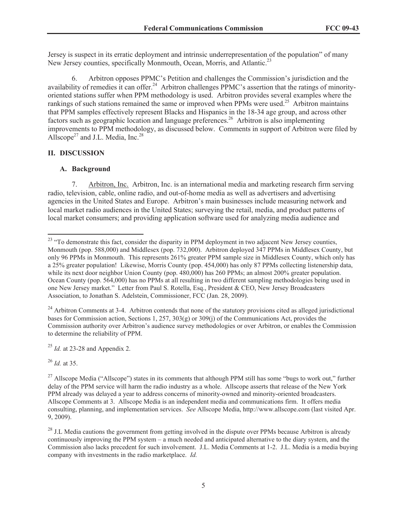Jersey is suspect in its erratic deployment and intrinsic underrepresentation of the population" of many New Jersey counties, specifically Monmouth, Ocean, Morris, and Atlantic.<sup>23</sup>

6. Arbitron opposes PPMC's Petition and challenges the Commission's jurisdiction and the availability of remedies it can offer.<sup>24</sup> Arbitron challenges PPMC's assertion that the ratings of minorityoriented stations suffer when PPM methodology is used. Arbitron provides several examples where the rankings of such stations remained the same or improved when PPMs were used.<sup>25</sup> Arbitron maintains that PPM samples effectively represent Blacks and Hispanics in the 18-34 age group, and across other factors such as geographic location and language preferences.<sup>26</sup> Arbitron is also implementing improvements to PPM methodology, as discussed below. Comments in support of Arbitron were filed by Allscope<sup>27</sup> and J.L. Media, Inc.<sup>28</sup>

# **II. DISCUSSION**

#### **A. Background**

7. Arbitron, Inc. Arbitron, Inc. is an international media and marketing research firm serving radio, television, cable, online radio, and out-of-home media as well as advertisers and advertising agencies in the United States and Europe. Arbitron's main businesses include measuring network and local market radio audiences in the United States; surveying the retail, media, and product patterns of local market consumers; and providing application software used for analyzing media audience and

<sup>24</sup> Arbitron Comments at 3-4. Arbitron contends that none of the statutory provisions cited as alleged jurisdictional bases for Commission action, Sections 1, 257, 303(g) or 309(j) of the Communications Act, provides the Commission authority over Arbitron's audience survey methodologies or over Arbitron, or enables the Commission to determine the reliability of PPM.

<sup>25</sup> *Id.* at 23-28 and Appendix 2.

<sup>26</sup> *Id.* at 35.

<sup>&</sup>lt;sup>23</sup> "To demonstrate this fact, consider the disparity in PPM deployment in two adjacent New Jersey counties, Monmouth (pop. 588,000) and Middlesex (pop. 732,000). Arbitron deployed 347 PPMs in Middlesex County, but only 96 PPMs in Monmouth. This represents 261% greater PPM sample size in Middlesex County, which only has a 25% greater population! Likewise, Morris County (pop. 454,000) has only 87 PPMs collecting listenership data, while its next door neighbor Union County (pop. 480,000) has 260 PPMs; an almost 200% greater population. Ocean County (pop. 564,000) has no PPMs at all resulting in two different sampling methodologies being used in one New Jersey market." Letter from Paul S. Rotella, Esq., President & CEO, New Jersey Broadcasters Association, to Jonathan S. Adelstein, Commissioner, FCC (Jan. 28, 2009).

<sup>&</sup>lt;sup>27</sup> Allscope Media ("Allscope") states in its comments that although PPM still has some "bugs to work out," further delay of the PPM service will harm the radio industry as a whole. Allscope asserts that release of the New York PPM already was delayed a year to address concerns of minority-owned and minority-oriented broadcasters. Allscope Comments at 3. Allscope Media is an independent media and communications firm. It offers media consulting, planning, and implementation services. *See* Allscope Media, http://www.allscope.com (last visited Apr. 9, 2009).

 $^{28}$  J.L Media cautions the government from getting involved in the dispute over PPMs because Arbitron is already continuously improving the PPM system – a much needed and anticipated alternative to the diary system, and the Commission also lacks precedent for such involvement. J.L. Media Comments at 1-2. J.L. Media is a media buying company with investments in the radio marketplace. *Id.*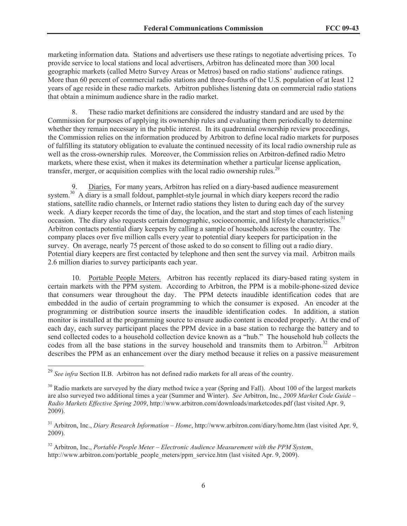marketing information data. Stations and advertisers use these ratings to negotiate advertising prices. To provide service to local stations and local advertisers, Arbitron has delineated more than 300 local geographic markets (called Metro Survey Areas or Metros) based on radio stations' audience ratings. More than 60 percent of commercial radio stations and three-fourths of the U.S. population of at least 12 years of age reside in these radio markets. Arbitron publishes listening data on commercial radio stations that obtain a minimum audience share in the radio market.

8. These radio market definitions are considered the industry standard and are used by the Commission for purposes of applying its ownership rules and evaluating them periodically to determine whether they remain necessary in the public interest. In its quadrennial ownership review proceedings, the Commission relies on the information produced by Arbitron to define local radio markets for purposes of fulfilling its statutory obligation to evaluate the continued necessity of its local radio ownership rule as well as the cross-ownership rules. Moreover, the Commission relies on Arbitron-defined radio Metro markets, where these exist, when it makes its determination whether a particular license application, transfer, merger, or acquisition complies with the local radio ownership rules.<sup>29</sup>

9. Diaries. For many years, Arbitron has relied on a diary-based audience measurement system.<sup>30</sup> A diary is a small foldout, pamphlet-style journal in which diary keepers record the radio stations, satellite radio channels, or Internet radio stations they listen to during each day of the survey week. A diary keeper records the time of day, the location, and the start and stop times of each listening occasion. The diary also requests certain demographic, socioeconomic, and lifestyle characteristics.<sup>31</sup> Arbitron contacts potential diary keepers by calling a sample of households across the country. The company places over five million calls every year to potential diary keepers for participation in the survey. On average, nearly 75 percent of those asked to do so consent to filling out a radio diary. Potential diary keepers are first contacted by telephone and then sent the survey via mail. Arbitron mails 2.6 million diaries to survey participants each year.

10. Portable People Meters. Arbitron has recently replaced its diary-based rating system in certain markets with the PPM system. According to Arbitron, the PPM is a mobile-phone-sized device that consumers wear throughout the day. The PPM detects inaudible identification codes that are embedded in the audio of certain programming to which the consumer is exposed. An encoder at the programming or distribution source inserts the inaudible identification codes. In addition, a station monitor is installed at the programming source to ensure audio content is encoded properly. At the end of each day, each survey participant places the PPM device in a base station to recharge the battery and to send collected codes to a household collection device known as a "hub." The household hub collects the codes from all the base stations in the survey household and transmits them to Arbitron.<sup>32</sup> Arbitron describes the PPM as an enhancement over the diary method because it relies on a passive measurement

<sup>&</sup>lt;sup>29</sup> See infra Section II.B. Arbitron has not defined radio markets for all areas of the country.

<sup>&</sup>lt;sup>30</sup> Radio markets are surveyed by the diary method twice a year (Spring and Fall). About 100 of the largest markets are also surveyed two additional times a year (Summer and Winter). *See* Arbitron, Inc., *2009 Market Code Guide – Radio Markets Effective Spring 2009*, http://www.arbitron.com/downloads/marketcodes.pdf (last visited Apr. 9, 2009).

<sup>31</sup> Arbitron, Inc., *Diary Research Information – Home*, http://www.arbitron.com/diary/home.htm (last visited Apr. 9, 2009).

<sup>32</sup> Arbitron, Inc., *Portable People Meter – Electronic Audience Measurement with the PPM System*, http://www.arbitron.com/portable\_people\_meters/ppm\_service.htm (last visited Apr. 9, 2009).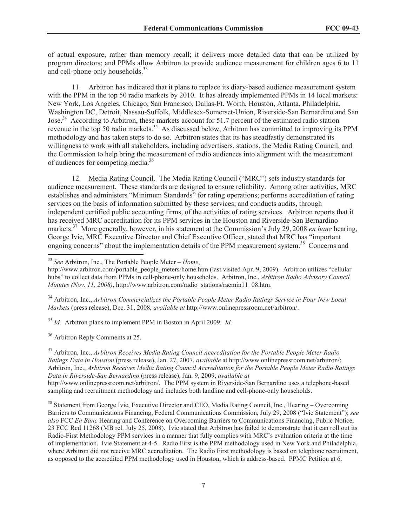of actual exposure, rather than memory recall; it delivers more detailed data that can be utilized by program directors; and PPMs allow Arbitron to provide audience measurement for children ages 6 to 11 and cell-phone-only households.<sup>33</sup>

11. Arbitron has indicated that it plans to replace its diary-based audience measurement system with the PPM in the top 50 radio markets by 2010. It has already implemented PPMs in 14 local markets: New York, Los Angeles, Chicago, San Francisco, Dallas-Ft. Worth, Houston, Atlanta, Philadelphia, Washington DC, Detroit, Nassau-Suffolk, Middlesex-Somerset-Union, Riverside-San Bernardino and San Jose.<sup>34</sup> According to Arbitron, these markets account for 51.7 percent of the estimated radio station revenue in the top 50 radio markets.<sup>35</sup> As discussed below, Arbitron has committed to improving its PPM methodology and has taken steps to do so. Arbitron states that its has steadfastly demonstrated its willingness to work with all stakeholders, including advertisers, stations, the Media Rating Council, and the Commission to help bring the measurement of radio audiences into alignment with the measurement of audiences for competing media.<sup>36</sup>

12. Media Rating Council. The Media Rating Council ("MRC") sets industry standards for audience measurement. These standards are designed to ensure reliability. Among other activities, MRC establishes and administers "Minimum Standards" for rating operations; performs accreditation of rating services on the basis of information submitted by these services; and conducts audits, through independent certified public accounting firms, of the activities of rating services. Arbitron reports that it has received MRC accreditation for its PPM services in the Houston and Riverside-San Bernardino markets.<sup>37</sup> More generally, however, in his statement at the Commission's July 29, 2008 *en banc* hearing, George Ivie, MRC Executive Director and Chief Executive Officer, stated that MRC has "important ongoing concerns" about the implementation details of the PPM measurement system.<sup>38</sup> Concerns and

<sup>34</sup> Arbitron, Inc., *Arbitron Commercializes the Portable People Meter Radio Ratings Service in Four New Local Markets* (press release), Dec. 31, 2008, *available at* http://www.onlinepressroom.net/arbitron/.

<sup>35</sup> *Id.* Arbitron plans to implement PPM in Boston in April 2009. *Id.*

<sup>36</sup> Arbitron Reply Comments at 25.

<sup>37</sup> Arbitron, Inc., *Arbitron Receives Media Rating Council Accreditation for the Portable People Meter Radio Ratings Data in Houston* (press release), Jan. 27, 2007, *available* at http://www.onlinepressroom.net/arbitron/; Arbitron, Inc., *Arbitron Receives Media Rating Council Accreditation for the Portable People Meter Radio Ratings Data in Riverside-San Bernardino* (press release), Jan. 9, 2009, *available at* http://www.onlinepressroom.net/arbitron/. The PPM system in Riverside-San Bernardino uses a telephone-based sampling and recruitment methodology and includes both landline and cell-phone-only households.

<sup>38</sup> Statement from George Ivie, Executive Director and CEO, Media Rating Council, Inc., Hearing – Overcoming Barriers to Communications Financing, Federal Communications Commission, July 29, 2008 ("Ivie Statement"); *see also* FCC *En Banc* Hearing and Conference on Overcoming Barriers to Communications Financing, Public Notice, 23 FCC Rcd 11268 (MB rel. July 25, 2008). Ivie stated that Arbitron has failed to demonstrate that it can roll out its Radio-First Methodology PPM services in a manner that fully complies with MRC's evaluation criteria at the time of implementation. Ivie Statement at 4-5. Radio First is the PPM methodology used in New York and Philadelphia, where Arbitron did not receive MRC accreditation. The Radio First methodology is based on telephone recruitment, as opposed to the accredited PPM methodology used in Houston, which is address-based. PPMC Petition at 6.

<sup>33</sup> *See* Arbitron, Inc., The Portable People Meter – *Home*,

http://www.arbitron.com/portable\_people\_meters/home.htm (last visited Apr. 9, 2009). Arbitron utilizes "cellular hubs" to collect data from PPMs in cell-phone-only households. Arbitron, Inc., *Arbitron Radio Advisory Council Minutes (Nov. 11, 2008)*, http://www.arbitron.com/radio\_stations/racmin11\_08.htm.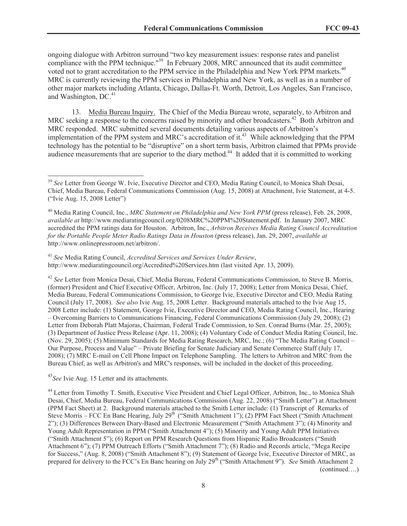ongoing dialogue with Arbitron surround "two key measurement issues: response rates and panelist compliance with the PPM technique."<sup>39</sup> In February 2008, MRC announced that its audit committee voted not to grant accreditation to the PPM service in the Philadelphia and New York PPM markets.<sup>40</sup> MRC is currently reviewing the PPM services in Philadelphia and New York, as well as in a number of other major markets including Atlanta, Chicago, Dallas-Ft. Worth, Detroit, Los Angeles, San Francisco, and Washington,  $DC<sup>41</sup>$ 

13. Media Bureau Inquiry. The Chief of the Media Bureau wrote, separately, to Arbitron and MRC seeking a response to the concerns raised by minority and other broadcasters.<sup>42</sup> Both Arbitron and MRC responded. MRC submitted several documents detailing various aspects of Arbitron's implementation of the PPM system and MRC's accreditation of it.<sup>43</sup> While acknowledging that the PPM technology has the potential to be "disruptive" on a short term basis, Arbitron claimed that PPMs provide audience measurements that are superior to the diary method.<sup>44</sup> It added that it is committed to working

<sup>42</sup> *See* Letter from Monica Desai, Chief, Media Bureau, Federal Communications Commission, to Steve B. Morris, (former) President and Chief Executive Officer, Arbitron, Inc. (July 17, 2008); Letter from Monica Desai, Chief, Media Bureau, Federal Communications Commission, to George Ivie, Executive Director and CEO, Media Rating Council (July 17, 2008). *See also* Ivie Aug. 15, 2008 Letter. Background materials attached to the Ivie Aug 15, 2008 Letter include: (1) Statement, George Ivie, Executive Director and CEO, Media Rating Council, Inc., Hearing – Overcoming Barriers to Communications Financing, Federal Communications Commission (July 29, 2008); (2) Letter from Deborah Platt Majoras, Chairman, Federal Trade Commission, to Sen. Conrad Burns (Mar. 25, 2005); (3) Department of Justice Press Release (Apr. 11, 2008); (4) Voluntary Code of Conduct Media Rating Council, Inc. (Nov. 29, 2005); (5) Minimum Standards for Media Rating Research, MRC, Inc.; (6) "The Media Rating Council – Our Purpose, Process and Value" – Private Briefing for Senate Judiciary and Senate Commerce Staff (July 17, 2008); (7) MRC E-mail on Cell Phone Impact on Telephone Sampling. The letters to Arbitron and MRC from the Bureau Chief, as well as Arbitron's and MRC's responses, will be included in the docket of this proceeding.

<sup>43</sup>*See* Ivie Aug. 15 Letter and its attachments.

<sup>44</sup> Letter from Timothy T. Smith, Executive Vice President and Chief Legal Officer, Arbitron, Inc., to Monica Shah Desai, Chief, Media Bureau, Federal Communications Commission (Aug. 22, 2008) ("Smith Letter") at Attachment (PPM Fact Sheet) at 2. Background materials attached to the Smith Letter include: (1) Transcript of Remarks of Steve Morris – FCC En Banc Hearing, July 29<sup>th</sup> ("Smith Attachment 1"); (2) PPM Fact Sheet ("Smith Attachment" 2"); (3) Differences Between Diary-Based and Electronic Measurement ("Smith Attachment 3"); (4) Minority and Young Adult Representation in PPM ("Smith Attachment 4"); (5) Minority and Young Adult PPM Initiatives ("Smith Attachment 5"); (6) Report on PPM Research Questions from Hispanic Radio Broadcasters ("Smith Attachment 6"); (7) PPM Outreach Efforts ("Smith Attachment 7"); (8) Radio and Records article, "Mega Recipe for Success," (Aug. 8, 2008) ("Smith Attachment 8"); (9) Statement of George Ivie, Executive Director of MRC, as prepared for delivery to the FCC's En Banc hearing on July 29th ("Smith Attachment 9"). *See* Smith Attachment 2 (continued….)

<sup>&</sup>lt;sup>39</sup> See Letter from George W. Ivie, Executive Director and CEO, Media Rating Council, to Monica Shah Desai, Chief, Media Bureau, Federal Communications Commission (Aug. 15, 2008) at Attachment, Ivie Statement, at 4-5. ("Ivie Aug. 15, 2008 Letter")

<sup>40</sup> Media Rating Council, Inc., *MRC Statement on Philadelphia and New York PPM* (press release), Feb. 28, 2008, *available at* http://www.mediaratingcouncil.org/0208MRC%20PPM%20Statement.pdf. In January 2007, MRC accredited the PPM ratings data for Houston. Arbitron, Inc., *Arbitron Receives Media Rating Council Accreditation for the Portable People Meter Radio Ratings Data in Houston* (press release), Jan. 29, 2007, *available at* http://www.onlinepressroom.net/arbitron/.

<sup>41</sup> *See* Media Rating Council, *Accredited Services and Services Under Review*, http://www.mediaratingcouncil.org/Accredited%20Services.htm (last visited Apr. 13, 2009).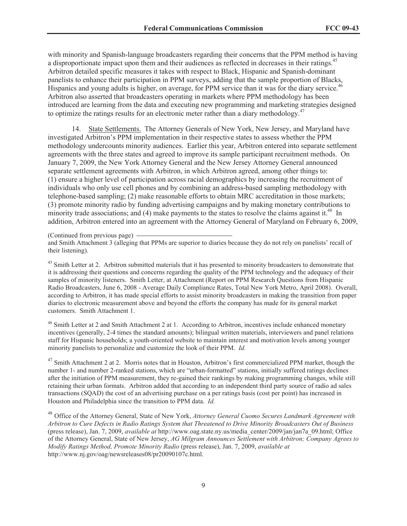with minority and Spanish-language broadcasters regarding their concerns that the PPM method is having a disproportionate impact upon them and their audiences as reflected in decreases in their ratings.<sup>45</sup> Arbitron detailed specific measures it takes with respect to Black, Hispanic and Spanish-dominant panelists to enhance their participation in PPM surveys, adding that the sample proportion of Blacks, Hispanics and young adults is higher, on average, for PPM service than it was for the diary service.<sup>46</sup> Arbitron also asserted that broadcasters operating in markets where PPM methodology has been introduced are learning from the data and executing new programming and marketing strategies designed to optimize the ratings results for an electronic meter rather than a diary methodology.<sup>47</sup>

14. State Settlements. The Attorney Generals of New York, New Jersey, and Maryland have investigated Arbitron's PPM implementation in their respective states to assess whether the PPM methodology undercounts minority audiences. Earlier this year, Arbitron entered into separate settlement agreements with the three states and agreed to improve its sample participant recruitment methods. On January 7, 2009, the New York Attorney General and the New Jersey Attorney General announced separate settlement agreements with Arbitron, in which Arbitron agreed, among other things to: (1) ensure a higher level of participation across racial demographics by increasing the recruitment of individuals who only use cell phones and by combining an address-based sampling methodology with telephone-based sampling; (2) make reasonable efforts to obtain MRC accreditation in those markets; (3) promote minority radio by funding advertising campaigns and by making monetary contributions to minority trade associations; and (4) make payments to the states to resolve the claims against it.<sup>48</sup> In addition, Arbitron entered into an agreement with the Attorney General of Maryland on February 6, 2009,

(Continued from previous page)

and Smith Attachment 3 (alleging that PPMs are superior to diaries because they do not rely on panelists' recall of their listening).

 $45$  Smith Letter at 2. Arbitron submitted materials that it has presented to minority broadcasters to demonstrate that it is addressing their questions and concerns regarding the quality of the PPM technology and the adequacy of their samples of minority listeners. Smith Letter, at Attachment (Report on PPM Research Questions from Hispanic Radio Broadcasters, June 6, 2008 - Average Daily Compliance Rates, Total New York Metro, April 2008). Overall, according to Arbitron, it has made special efforts to assist minority broadcasters in making the transition from paper diaries to electronic measurement above and beyond the efforts the company has made for its general market customers. Smith Attachment 1.

<sup>46</sup> Smith Letter at 2 and Smith Attachment 2 at 1. According to Arbitron, incentives include enhanced monetary incentives (generally, 2-4 times the standard amounts); bilingual written materials, interviewers and panel relations staff for Hispanic households; a youth-oriented website to maintain interest and motivation levels among younger minority panelists to personalize and customize the look of their PPM. *Id.* 

<sup>47</sup> Smith Attachment 2 at 2. Morris notes that in Houston, Arbitron's first commercialized PPM market, though the number 1- and number 2-ranked stations, which are "urban-formatted" stations, initially suffered ratings declines after the initiation of PPM measurement, they re-gained their rankings by making programming changes, while still retaining their urban formats. Arbitron added that according to an independent third party source of radio ad sales transactions (SQAD) the cost of an advertising purchase on a per ratings basis (cost per point) has increased in Houston and Philadelphia since the transition to PPM data. *Id.*

<sup>48</sup> Office of the Attorney General, State of New York, *Attorney General Cuomo Secures Landmark Agreement with Arbitron to Cure Defects in Radio Ratings System that Threatened to Drive Minority Broadcasters Out of Business* (press release), Jan. 7, 2009, *available at* http://www.oag.state.ny.us/media\_center/2009/jan/jan7a\_09.html; Office of the Attorney General, State of New Jersey, *AG Milgram Announces Settlement with Arbitron; Company Agrees to Modify Ratings Method, Promote Minority Radio* (press release), Jan. 7, 2009, *available at* http://www.nj.gov/oag/newsreleases08/pr20090107c.html.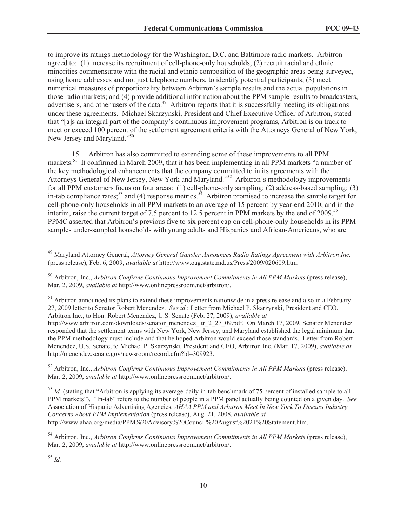to improve its ratings methodology for the Washington, D.C. and Baltimore radio markets. Arbitron agreed to: (1) increase its recruitment of cell-phone-only households; (2) recruit racial and ethnic minorities commensurate with the racial and ethnic composition of the geographic areas being surveyed, using home addresses and not just telephone numbers, to identify potential participants; (3) meet numerical measures of proportionality between Arbitron's sample results and the actual populations in those radio markets; and (4) provide additional information about the PPM sample results to broadcasters, advertisers, and other users of the data.<sup>49</sup> Arbitron reports that it is successfully meeting its obligations under these agreements. Michael Skarzynski, President and Chief Executive Officer of Arbitron, stated that "[a]s an integral part of the company's continuous improvement programs, Arbitron is on track to meet or exceed 100 percent of the settlement agreement criteria with the Attorneys General of New York, New Jersey and Maryland."<sup>50</sup>

15. Arbitron has also committed to extending some of these improvements to all PPM markets.<sup>51</sup> It confirmed in March 2009, that it has been implementing in all PPM markets "a number of the key methodological enhancements that the company committed to in its agreements with the Attorneys General of New Jersey, New York and Maryland."<sup>52</sup> Arbitron's methodology improvements for all PPM customers focus on four areas: (1) cell-phone-only sampling; (2) address-based sampling; (3) in-tab compliance rates;<sup>53</sup> and (4) response metrics.<sup>54</sup> Arbitron promised to increase the sample target for cell-phone-only households in all PPM markets to an average of 15 percent by year-end 2010, and in the interim, raise the current target of 7.5 percent to 12.5 percent in PPM markets by the end of 2009.<sup>55</sup> PPMC asserted that Arbitron's previous five to six percent cap on cell-phone-only households in its PPM samples under-sampled households with young adults and Hispanics and African-Americans, who are

<sup>52</sup> Arbitron, Inc., *Arbitron Confirms Continuous Improvement Commitments in All PPM Markets* (press release), Mar. 2, 2009, *available at* http://www.onlinepressroom.net/arbitron/.

<sup>53</sup> *Id.* (stating that "Arbitron is applying its average-daily in-tab benchmark of 75 percent of installed sample to all PPM markets"). "In-tab" refers to the number of people in a PPM panel actually being counted on a given day. *See*  Association of Hispanic Advertising Agencies, *AHAA PPM and Arbitron Meet In New York To Discuss Industry Concerns About PPM Implementation* (press release), Aug. 21, 2008, *available at*  http://www.ahaa.org/media/PPM%20Advisory%20Council%20August%2021%20Statement.htm.

<sup>54</sup> Arbitron, Inc., *Arbitron Confirms Continuous Improvement Commitments in All PPM Markets* (press release), Mar. 2, 2009, *available at* http://www.onlinepressroom.net/arbitron/.

<sup>49</sup> Maryland Attorney General, *Attorney General Gansler Announces Radio Ratings Agreement with Arbitron Inc.*  (press release), Feb. 6, 2009, *available at* http://www.oag.state.md.us/Press/2009/020609.htm.

<sup>50</sup> Arbitron, Inc., *Arbitron Confirms Continuous Improvement Commitments in All PPM Markets* (press release), Mar. 2, 2009, *available at* http://www.onlinepressroom.net/arbitron/.

<sup>&</sup>lt;sup>51</sup> Arbitron announced its plans to extend these improvements nationwide in a press release and also in a February 27, 2009 letter to Senator Robert Menendez. *See id.*; Letter from Michael P. Skarzynski, President and CEO, Arbitron Inc., to Hon. Robert Menendez, U.S. Senate (Feb. 27, 2009), *available at*

http://www.arbitron.com/downloads/senator\_menendez\_ltr\_2\_27\_09.pdf. On March 17, 2009, Senator Menendez responded that the settlement terms with New York, New Jersey, and Maryland established the legal minimum that the PPM methodology must include and that he hoped Arbitron would exceed those standards. Letter from Robert Menendez, U.S. Senate, to Michael P. Skarzynski, President and CEO, Arbitron Inc. (Mar. 17, 2009), *available at* http://menendez.senate.gov/newsroom/record.cfm?id=309923.

<sup>55</sup> *Id.*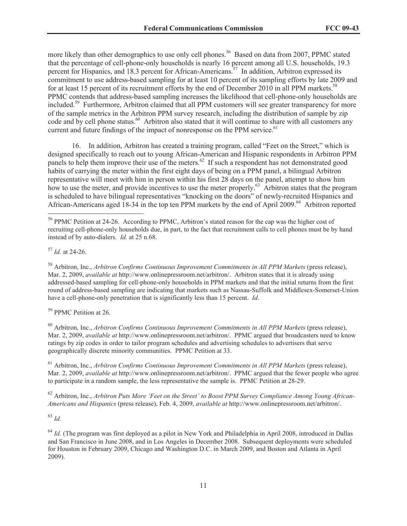more likely than other demographics to use only cell phones.<sup>56</sup> Based on data from 2007, PPMC stated that the percentage of cell-phone-only households is nearly 16 percent among all U.S. households, 19.3 percent for Hispanics, and 18.3 percent for African-Americans.<sup>57</sup> In addition, Arbitron expressed its commitment to use address-based sampling for at least 10 percent of its sampling efforts by late 2009 and for at least 15 percent of its recruitment efforts by the end of December 2010 in all PPM markets.<sup>58</sup> PPMC contends that address-based sampling increases the likelihood that cell-phone-only households are included.<sup>59</sup> Furthermore, Arbitron claimed that all PPM customers will see greater transparency for more of the sample metrics in the Arbitron PPM survey research, including the distribution of sample by zip code and by cell phone status.<sup>60</sup> Arbitron also stated that it will continue to share with all customers any current and future findings of the impact of nonresponse on the PPM service.<sup>61</sup>

16. In addition, Arbitron has created a training program, called "Feet on the Street," which is designed specifically to reach out to young African-American and Hispanic respondents in Arbitron PPM panels to help them improve their use of the meters.<sup>62</sup> If such a respondent has not demonstrated good habits of carrying the meter within the first eight days of being on a PPM panel, a bilingual Arbitron representative will meet with him in person within his first 28 days on the panel, attempt to show him how to use the meter, and provide incentives to use the meter properly.<sup>63</sup> Arbitron states that the program is scheduled to have bilingual representatives "knocking on the doors" of newly-recruited Hispanics and African-Americans aged 18-34 in the top ten PPM markets by the end of April 2009.<sup>64</sup> Arbitron reported

<sup>57</sup> *Id.* at 24-26.

<sup>58</sup> Arbitron, Inc., *Arbitron Confirms Continuous Improvement Commitments in All PPM Markets* (press release), Mar. 2, 2009, *available at* http://www.onlinepressroom.net/arbitron/. Arbitron states that it is already using addressed-based sampling for cell-phone-only households in PPM markets and that the initial returns from the first round of address-based sampling are indicating that markets such as Nassau-Suffolk and Middlesex-Somerset-Union have a cell-phone-only penetration that is significantly less than 15 percent. *Id.*

<sup>59</sup> PPMC Petition at 26.

<sup>60</sup> Arbitron, Inc., *Arbitron Confirms Continuous Improvement Commitments in All PPM Markets* (press release), Mar. 2, 2009, *available at* http://www.onlinepressroom.net/arbitron/. PPMC argued that broadcasters need to know ratings by zip codes in order to tailor program schedules and advertising schedules to advertisers that serve geographically discrete minority communities. PPMC Petition at 33.

<sup>61</sup> Arbitron, Inc., *Arbitron Confirms Continuous Improvement Commitments in All PPM Markets* (press release), Mar. 2, 2009, *available at* http://www.onlinepressroom.net/arbitron/. PPMC argued that the fewer people who agree to participate in a random sample, the less representative the sample is. PPMC Petition at 28-29.

<sup>62</sup> Arbitron, Inc., *Arbitron Puts More 'Feet on the Street' to Boost PPM Survey Compliance Among Young African-Americans and Hispanics* (press release), Feb. 4, 2009, *available at* http://www.onlinepressroom.net/arbitron/.

<sup>63</sup> *Id.*

<sup>64</sup> *Id.* (The program was first deployed as a pilot in New York and Philadelphia in April 2008, introduced in Dallas and San Francisco in June 2008, and in Los Angeles in December 2008. Subsequent deployments were scheduled for Houston in February 2009, Chicago and Washington D.C. in March 2009, and Boston and Atlanta in April 2009).

<sup>56</sup> PPMC Petition at 24-26. According to PPMC, Arbitron's stated reason for the cap was the higher cost of recruiting cell-phone-only households due, in part, to the fact that recruitment calls to cell phones must be by hand instead of by auto-dialers. *Id.* at 25 n.68.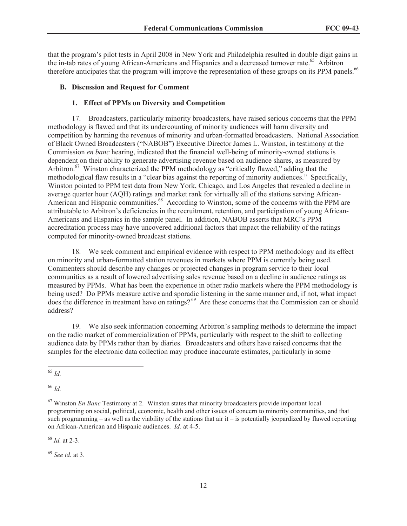that the program's pilot tests in April 2008 in New York and Philadelphia resulted in double digit gains in the in-tab rates of young African-Americans and Hispanics and a decreased turnover rate.<sup>65</sup> Arbitron therefore anticipates that the program will improve the representation of these groups on its PPM panels.<sup>66</sup>

### **B. Discussion and Request for Comment**

## **1. Effect of PPMs on Diversity and Competition**

17. Broadcasters, particularly minority broadcasters, have raised serious concerns that the PPM methodology is flawed and that its undercounting of minority audiences will harm diversity and competition by harming the revenues of minority and urban-formatted broadcasters. National Association of Black Owned Broadcasters ("NABOB") Executive Director James L. Winston, in testimony at the Commission *en banc* hearing, indicated that the financial well-being of minority-owned stations is dependent on their ability to generate advertising revenue based on audience shares, as measured by Arbitron.<sup>67</sup> Winston characterized the PPM methodology as "critically flawed," adding that the methodological flaw results in a "clear bias against the reporting of minority audiences." Specifically, Winston pointed to PPM test data from New York, Chicago, and Los Angeles that revealed a decline in average quarter hour (AQH) ratings and market rank for virtually all of the stations serving African-American and Hispanic communities.<sup>68</sup> According to Winston, some of the concerns with the PPM are attributable to Arbitron's deficiencies in the recruitment, retention, and participation of young African-Americans and Hispanics in the sample panel. In addition, NABOB asserts that MRC's PPM accreditation process may have uncovered additional factors that impact the reliability of the ratings computed for minority-owned broadcast stations.

18. We seek comment and empirical evidence with respect to PPM methodology and its effect on minority and urban-formatted station revenues in markets where PPM is currently being used. Commenters should describe any changes or projected changes in program service to their local communities as a result of lowered advertising sales revenue based on a decline in audience ratings as measured by PPMs. What has been the experience in other radio markets where the PPM methodology is being used? Do PPMs measure active and sporadic listening in the same manner and, if not, what impact does the difference in treatment have on ratings?<sup>69</sup> Are these concerns that the Commission can or should address?

19. We also seek information concerning Arbitron's sampling methods to determine the impact on the radio market of commercialization of PPMs, particularly with respect to the shift to collecting audience data by PPMs rather than by diaries. Broadcasters and others have raised concerns that the samples for the electronic data collection may produce inaccurate estimates, particularly in some

<sup>66</sup> *Id.*

<sup>68</sup> *Id.* at 2-3.

<sup>69</sup> *See id.* at 3.

<sup>65</sup> *Id.*

<sup>67</sup> Winston *En Banc* Testimony at 2. Winston states that minority broadcasters provide important local programming on social, political, economic, health and other issues of concern to minority communities, and that such programming – as well as the viability of the stations that air  $i\bar{t}$  – is potentially jeopardized by flawed reporting on African-American and Hispanic audiences. *Id.* at 4-5.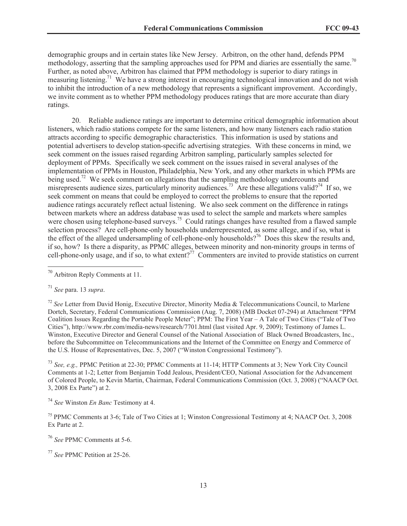demographic groups and in certain states like New Jersey. Arbitron, on the other hand, defends PPM methodology, asserting that the sampling approaches used for PPM and diaries are essentially the same.<sup>70</sup> Further, as noted above, Arbitron has claimed that PPM methodology is superior to diary ratings in measuring listening.<sup>71</sup> We have a strong interest in encouraging technological innovation and do not wish to inhibit the introduction of a new methodology that represents a significant improvement. Accordingly, we invite comment as to whether PPM methodology produces ratings that are more accurate than diary ratings.

20. Reliable audience ratings are important to determine critical demographic information about listeners, which radio stations compete for the same listeners, and how many listeners each radio station attracts according to specific demographic characteristics. This information is used by stations and potential advertisers to develop station-specific advertising strategies. With these concerns in mind, we seek comment on the issues raised regarding Arbitron sampling, particularly samples selected for deployment of PPMs. Specifically we seek comment on the issues raised in several analyses of the implementation of PPMs in Houston, Philadelphia, New York, and any other markets in which PPMs are being used.<sup>72</sup> We seek comment on allegations that the sampling methodology undercounts and misrepresents audience sizes, particularly minority audiences.<sup>73</sup> Are these allegations valid?<sup>74</sup> If so, we seek comment on means that could be employed to correct the problems to ensure that the reported audience ratings accurately reflect actual listening. We also seek comment on the difference in ratings between markets where an address database was used to select the sample and markets where samples were chosen using telephone-based surveys.<sup>75</sup> Could ratings changes have resulted from a flawed sample selection process? Are cell-phone-only households underrepresented, as some allege, and if so, what is the effect of the alleged undersampling of cell-phone-only households?<sup>76</sup> Does this skew the results and, if so, how? Is there a disparity, as PPMC alleges, between minority and non-minority groups in terms of cell-phone-only usage, and if so, to what extent?<sup>77</sup> Commenters are invited to provide statistics on current

<sup>73</sup> *See, e.g.,* PPMC Petition at 22-30; PPMC Comments at 11-14; HTTP Comments at 3; New York City Council Comments at 1-2; Letter from Benjamin Todd Jealous, President/CEO, National Association for the Advancement of Colored People, to Kevin Martin, Chairman, Federal Communications Commission (Oct. 3, 2008) ("NAACP Oct. 3, 2008 Ex Parte") at 2.

<sup>74</sup> *See* Winston *En Banc* Testimony at 4.

<sup>75</sup> PPMC Comments at 3-6; Tale of Two Cities at 1; Winston Congressional Testimony at 4; NAACP Oct. 3, 2008 Ex Parte at 2.

<sup>76</sup> *See* PPMC Comments at 5-6.

<sup>77</sup> *See* PPMC Petition at 25-26.

<sup>70</sup> Arbitron Reply Comments at 11.

<sup>71</sup> *See* para. 13 *supra*.

<sup>72</sup> *See* Letter from David Honig, Executive Director, Minority Media & Telecommunications Council, to Marlene Dortch, Secretary, Federal Communications Commission (Aug. 7, 2008) (MB Docket 07-294) at Attachment "PPM Coalition Issues Regarding the Portable People Meter"; PPM: The First Year – A Tale of Two Cities ("Tale of Two Cities"), http://www.rbr.com/media-news/research/7701.html (last visited Apr. 9, 2009); Testimony of James L. Winston, Executive Director and General Counsel of the National Association of Black Owned Broadcasters, Inc., before the Subcommittee on Telecommunications and the Internet of the Committee on Energy and Commerce of the U.S. House of Representatives, Dec. 5, 2007 ("Winston Congressional Testimony").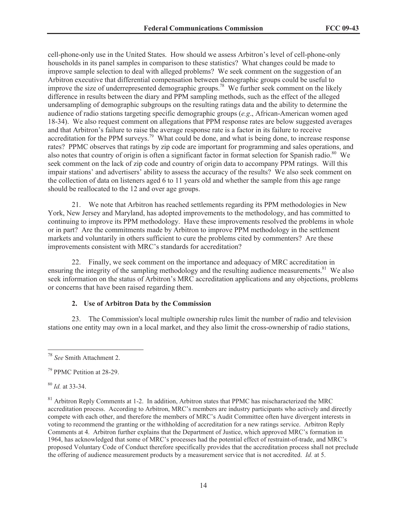cell-phone-only use in the United States. How should we assess Arbitron's level of cell-phone-only households in its panel samples in comparison to these statistics? What changes could be made to improve sample selection to deal with alleged problems? We seek comment on the suggestion of an Arbitron executive that differential compensation between demographic groups could be useful to improve the size of underrepresented demographic groups.<sup>78</sup> We further seek comment on the likely difference in results between the diary and PPM sampling methods, such as the effect of the alleged undersampling of demographic subgroups on the resulting ratings data and the ability to determine the audience of radio stations targeting specific demographic groups (*e.g*., African-American women aged 18-34). We also request comment on allegations that PPM response rates are below suggested averages and that Arbitron's failure to raise the average response rate is a factor in its failure to receive accreditation for the PPM surveys.<sup>79</sup> What could be done, and what is being done, to increase response rates? PPMC observes that ratings by zip code are important for programming and sales operations, and also notes that country of origin is often a significant factor in format selection for Spanish radio.<sup>80</sup> We seek comment on the lack of zip code and country of origin data to accompany PPM ratings. Will this impair stations' and advertisers' ability to assess the accuracy of the results? We also seek comment on the collection of data on listeners aged 6 to 11 years old and whether the sample from this age range should be reallocated to the 12 and over age groups.

21. We note that Arbitron has reached settlements regarding its PPM methodologies in New York, New Jersey and Maryland, has adopted improvements to the methodology, and has committed to continuing to improve its PPM methodology. Have these improvements resolved the problems in whole or in part? Are the commitments made by Arbitron to improve PPM methodology in the settlement markets and voluntarily in others sufficient to cure the problems cited by commenters? Are these improvements consistent with MRC's standards for accreditation?

22. Finally, we seek comment on the importance and adequacy of MRC accreditation in ensuring the integrity of the sampling methodology and the resulting audience measurements. $81$  We also seek information on the status of Arbitron's MRC accreditation applications and any objections, problems or concerns that have been raised regarding them.

### **2. Use of Arbitron Data by the Commission**

23. The Commission's local multiple ownership rules limit the number of radio and television stations one entity may own in a local market, and they also limit the cross-ownership of radio stations,

<sup>80</sup> *Id.* at 33-34.

<sup>78</sup> *See* Smith Attachment 2.

<sup>79</sup> PPMC Petition at 28-29.

<sup>&</sup>lt;sup>81</sup> Arbitron Reply Comments at 1-2. In addition, Arbitron states that PPMC has mischaracterized the MRC accreditation process. According to Arbitron, MRC's members are industry participants who actively and directly compete with each other, and therefore the members of MRC's Audit Committee often have divergent interests in voting to recommend the granting or the withholding of accreditation for a new ratings service. Arbitron Reply Comments at 4. Arbitron further explains that the Department of Justice, which approved MRC's formation in 1964, has acknowledged that some of MRC's processes had the potential effect of restraint-of-trade, and MRC's proposed Voluntary Code of Conduct therefore specifically provides that the accreditation process shall not preclude the offering of audience measurement products by a measurement service that is not accredited. *Id.* at 5.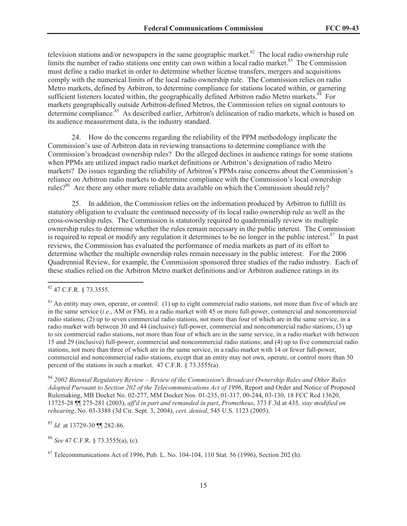television stations and/or newspapers in the same geographic market.<sup>82</sup> The local radio ownership rule limits the number of radio stations one entity can own within a local radio market.<sup>83</sup> The Commission must define a radio market in order to determine whether license transfers, mergers and acquisitions comply with the numerical limits of the local radio ownership rule. The Commission relies on radio Metro markets, defined by Arbitron, to determine compliance for stations located within, or garnering sufficient listeners located within, the geographically defined Arbitron radio Metro markets. ${}^{84}$  For markets geographically outside Arbitron-defined Metros, the Commission relies on signal contours to determine compliance.<sup>85</sup> As described earlier, Arbitron's delineation of radio markets, which is based on its audience measurement data, is the industry standard.

24. How do the concerns regarding the reliability of the PPM methodology implicate the Commission's use of Arbitron data in reviewing transactions to determine compliance with the Commission's broadcast ownership rules? Do the alleged declines in audience ratings for some stations when PPMs are utilized impact radio market definitions or Arbitron's designation of radio Metro markets? Do issues regarding the reliability of Arbitron's PPMs raise concerns about the Commission's reliance on Arbitron radio markets to determine compliance with the Commission's local ownership rules?<sup>86</sup> Are there any other more reliable data available on which the Commission should rely?

25. In addition, the Commission relies on the information produced by Arbitron to fulfill its statutory obligation to evaluate the continued necessity of its local radio ownership rule as well as the cross-ownership rules. The Commission is statutorily required to quadrennially review its multiple ownership rules to determine whether the rules remain necessary in the public interest. The Commission is required to repeal or modify any regulation it determines to be no longer in the public interest.<sup>87</sup> In past reviews, the Commission has evaluated the performance of media markets as part of its effort to determine whether the multiple ownership rules remain necessary in the public interest. For the 2006 Quadrennial Review, for example, the Commission sponsored three studies of the radio industry. Each of these studies relied on the Arbitron Metro market definitions and/or Arbitron audience ratings in its

<sup>84</sup> *2002 Biennial Regulatory Review – Review of the Commission's Broadcast Ownership Rules and Other Rules Adopted Pursuant to Section 202 of the Telecommunications Act of 1996*, Report and Order and Notice of Proposed Rulemaking, MB Docket No. 02-277, MM Docket Nos. 01-235, 01-317, 00-244, 03-130, 18 FCC Rcd 13620, 13725-28 ¶¶ 275-281 (2003), *aff'd in part and remanded in part*, *Prometheus*, 373 F.3d at 435*, stay modified on rehearing*, No. 03-3388 (3d Cir. Sept. 3, 2004), *cert. denied*, 545 U.S. 1123 (2005).

<sup>85</sup> *Id.* at 13729-30 ¶¶ 282-86.

<sup>86</sup> *See* 47 C.F.R. § 73.3555(a), (c).

<sup>82</sup> 47 C.F.R. § 73.3555.

 $83$  An entity may own, operate, or control: (1) up to eight commercial radio stations, not more than five of which are in the same service (*i.e*., AM or FM), in a radio market with 45 or more full-power, commercial and noncommercial radio stations; (2) up to seven commercial radio stations, not more than four of which are in the same service, in a radio market with between 30 and 44 (inclusive) full-power, commercial and noncommercial radio stations; (3) up to six commercial radio stations, not more than four of which are in the same service, in a radio market with between 15 and 29 (inclusive) full-power, commercial and noncommercial radio stations; and (4) up to five commercial radio stations, not more than three of which are in the same service, in a radio market with 14 or fewer full-power, commercial and noncommercial radio stations, except that an entity may not own, operate, or control more than 50 percent of the stations in such a market. 47 C.F.R. § 73.3555(a).

 $87$  Telecommunications Act of 1996, Pub. L. No. 104-104, 110 Stat. 56 (1996), Section 202 (h).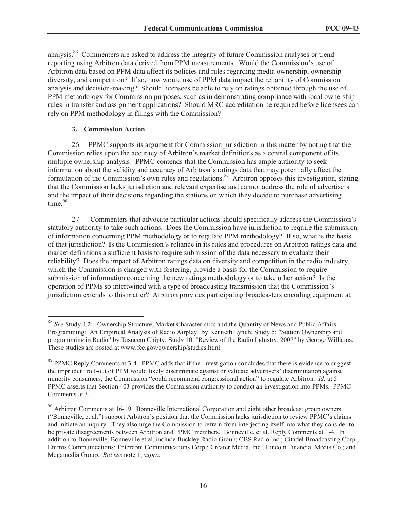analysis.<sup>88</sup> Commenters are asked to address the integrity of future Commission analyses or trend reporting using Arbitron data derived from PPM measurements. Would the Commission's use of Arbitron data based on PPM data affect its policies and rules regarding media ownership, ownership diversity, and competition? If so, how would use of PPM data impact the reliability of Commission analysis and decision-making? Should licensees be able to rely on ratings obtained through the use of PPM methodology for Commission purposes, such as in demonstrating compliance with local ownership rules in transfer and assignment applications? Should MRC accreditation be required before licensees can rely on PPM methodology in filings with the Commission?

### **3. Commission Action**

26. PPMC supports its argument for Commission jurisdiction in this matter by noting that the Commission relies upon the accuracy of Arbitron's market definitions as a central component of its multiple ownership analysis. PPMC contends that the Commission has ample authority to seek information about the validity and accuracy of Arbitron's ratings data that may potentially affect the formulation of the Commission's own rules and regulations.<sup>89</sup> Arbitron opposes this investigation, stating that the Commission lacks jurisdiction and relevant expertise and cannot address the role of advertisers and the impact of their decisions regarding the stations on which they decide to purchase advertising time.<sup>90</sup>

27. Commenters that advocate particular actions should specifically address the Commission's statutory authority to take such actions. Does the Commission have jurisdiction to require the submission of information concerning PPM methodology or to regulate PPM methodology? If so, what is the basis of that jurisdiction? Is the Commission's reliance in its rules and procedures on Arbitron ratings data and market definitions a sufficient basis to require submission of the data necessary to evaluate their reliability? Does the impact of Arbitron ratings data on diversity and competition in the radio industry, which the Commission is charged with fostering, provide a basis for the Commission to require submission of information concerning the new ratings methodology or to take other action? Is the operation of PPMs so intertwined with a type of broadcasting transmission that the Commission's jurisdiction extends to this matter? Arbitron provides participating broadcasters encoding equipment at

<sup>88</sup> *See* Study 4.2: "Ownership Structure, Market Characteristics and the Quantity of News and Public Affairs Programming: An Empirical Analysis of Radio Airplay" by Kenneth Lynch; Study 5: "Station Ownership and programming in Radio" by Tasneem Chipty; Study 10: "Review of the Radio Industry, 2007" by George Williams. These studies are posted at www.fcc.gov/ownership/studies.html.

<sup>&</sup>lt;sup>89</sup> PPMC Reply Comments at 3-4. PPMC adds that if the investigation concludes that there is evidence to suggest the imprudent roll-out of PPM would likely discriminate against or validate advertisers' discrimination against minority consumers, the Commission "could recommend congressional action" to regulate Arbitron. *Id.* at 5. PPMC asserts that Section 403 provides the Commission authority to conduct an investigation into PPMs. PPMC Comments at 3.

 $90$  Arbitron Comments at 16-19. Bonneville International Corporation and eight other broadcast group owners ("Bonneville, et al.") support Arbitron's position that the Commission lacks jurisdiction to review PPMC's claims and initiate an inquiry. They also urge the Commission to refrain from interjecting itself into what they consider to be private disagreements between Arbitron and PPMC members. Bonneville, et al. Reply Comments at 1-4. In addition to Bonneville, Bonneville et al. include Buckley Radio Group; CBS Radio Inc.; Citadel Broadcasting Corp.; Emmis Communications; Entercom Communications Corp.; Greater Media, Inc.; Lincoln Financial Media Co.; and Megamedia Group. *But see* note 1, *supra*.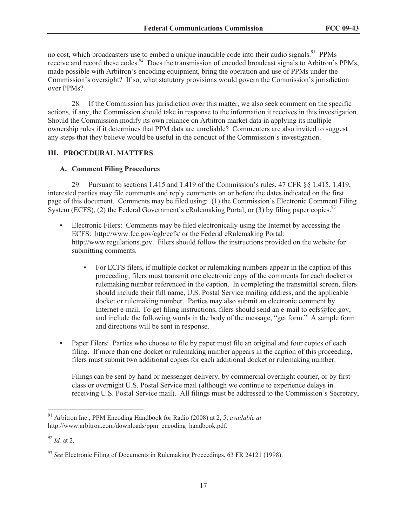no cost, which broadcasters use to embed a unique inaudible code into their audio signals.<sup>91</sup> PPMs receive and record these codes.<sup>92</sup> Does the transmission of encoded broadcast signals to Arbitron's PPMs, made possible with Arbitron's encoding equipment, bring the operation and use of PPMs under the Commission's oversight? If so, what statutory provisions would govern the Commission's jurisdiction over PPMs?

28. If the Commission has jurisdiction over this matter, we also seek comment on the specific actions, if any, the Commission should take in response to the information it receives in this investigation. Should the Commission modify its own reliance on Arbitron market data in applying its multiple ownership rules if it determines that PPM data are unreliable? Commenters are also invited to suggest any steps that they believe would be useful in the conduct of the Commission's investigation.

# **III. PROCEDURAL MATTERS**

#### **A. Comment Filing Procedures**

29. Pursuant to sections 1.415 and 1.419 of the Commission's rules, 47 CFR §§ 1.415, 1.419, interested parties may file comments and reply comments on or before the dates indicated on the first page of this document. Comments may be filed using: (1) the Commission's Electronic Comment Filing System (ECFS), (2) the Federal Government's eRulemaking Portal, or (3) by filing paper copies.<sup>93</sup>

- Electronic Filers: Comments may be filed electronically using the Internet by accessing the ECFS: http://www.fcc.gov/cgb/ecfs/ or the Federal eRulemaking Portal: http://www.regulations.gov. Filers should follow the instructions provided on the website for submitting comments.
	- For ECFS filers, if multiple docket or rulemaking numbers appear in the caption of this proceeding, filers must transmit one electronic copy of the comments for each docket or rulemaking number referenced in the caption. In completing the transmittal screen, filers should include their full name, U.S. Postal Service mailing address, and the applicable docket or rulemaking number. Parties may also submit an electronic comment by Internet e-mail. To get filing instructions, filers should send an e-mail to ecfs@fcc.gov, and include the following words in the body of the message, "get form." A sample form and directions will be sent in response.
- Paper Filers: Parties who choose to file by paper must file an original and four copies of each filing. If more than one docket or rulemaking number appears in the caption of this proceeding, filers must submit two additional copies for each additional docket or rulemaking number.

Filings can be sent by hand or messenger delivery, by commercial overnight courier, or by firstclass or overnight U.S. Postal Service mail (although we continue to experience delays in receiving U.S. Postal Service mail). All filings must be addressed to the Commission's Secretary,

<sup>91</sup> Arbitron Inc., PPM Encoding Handbook for Radio (2008) at 2, 5, *available at* http://www.arbitron.com/downloads/ppm\_encoding\_handbook.pdf.

<sup>92</sup> *Id.* at 2.

<sup>93</sup> *See* Electronic Filing of Documents in Rulemaking Proceedings, 63 FR 24121 (1998).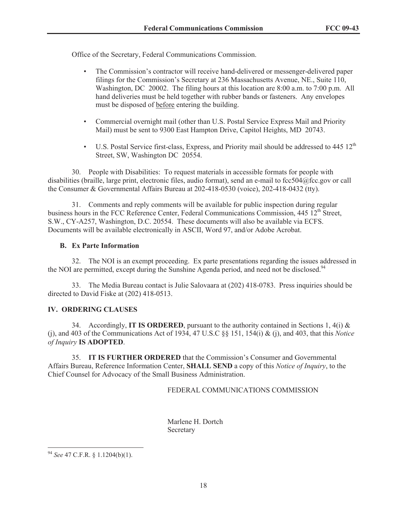Office of the Secretary, Federal Communications Commission.

- The Commission's contractor will receive hand-delivered or messenger-delivered paper filings for the Commission's Secretary at 236 Massachusetts Avenue, NE., Suite 110, Washington, DC 20002. The filing hours at this location are 8:00 a.m. to 7:00 p.m. All hand deliveries must be held together with rubber bands or fasteners. Any envelopes must be disposed of before entering the building.
- Commercial overnight mail (other than U.S. Postal Service Express Mail and Priority Mail) must be sent to 9300 East Hampton Drive, Capitol Heights, MD 20743.
- U.S. Postal Service first-class, Express, and Priority mail should be addressed to  $445 \, 12^{th}$ Street, SW, Washington DC 20554.

30. People with Disabilities: To request materials in accessible formats for people with disabilities (braille, large print, electronic files, audio format), send an e-mail to fcc504@fcc.gov or call the Consumer & Governmental Affairs Bureau at 202-418-0530 (voice), 202-418-0432 (tty).

31. Comments and reply comments will be available for public inspection during regular business hours in the FCC Reference Center, Federal Communications Commission, 445 12<sup>th</sup> Street, S.W., CY-A257, Washington, D.C. 20554. These documents will also be available via ECFS. Documents will be available electronically in ASCII, Word 97, and/or Adobe Acrobat.

# **B. Ex Parte Information**

32. The NOI is an exempt proceeding. Ex parte presentations regarding the issues addressed in the NOI are permitted, except during the Sunshine Agenda period, and need not be disclosed.<sup>94</sup>

33. The Media Bureau contact is Julie Salovaara at (202) 418-0783. Press inquiries should be directed to David Fiske at (202) 418-0513.

# **IV. ORDERING CLAUSES**

34. Accordingly, **IT IS ORDERED**, pursuant to the authority contained in Sections 1, 4(i) & (j), and 403 of the Communications Act of 1934, 47 U.S.C §§ 151, 154(i) & (j), and 403, that this *Notice of Inquiry* **IS ADOPTED**.

35. **IT IS FURTHER ORDERED** that the Commission's Consumer and Governmental Affairs Bureau, Reference Information Center, **SHALL SEND** a copy of this *Notice of Inquiry*, to the Chief Counsel for Advocacy of the Small Business Administration.

# FEDERAL COMMUNICATIONS COMMISSION

Marlene H. Dortch Secretary

<sup>94</sup> *See* 47 C.F.R. § 1.1204(b)(1).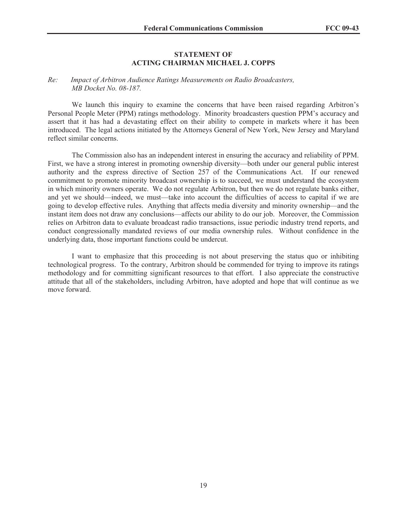### **STATEMENT OF ACTING CHAIRMAN MICHAEL J. COPPS**

### *Re: Impact of Arbitron Audience Ratings Measurements on Radio Broadcasters, MB Docket No. 08-187.*

We launch this inquiry to examine the concerns that have been raised regarding Arbitron's Personal People Meter (PPM) ratings methodology. Minority broadcasters question PPM's accuracy and assert that it has had a devastating effect on their ability to compete in markets where it has been introduced. The legal actions initiated by the Attorneys General of New York, New Jersey and Maryland reflect similar concerns.

The Commission also has an independent interest in ensuring the accuracy and reliability of PPM. First, we have a strong interest in promoting ownership diversity—both under our general public interest authority and the express directive of Section 257 of the Communications Act. If our renewed commitment to promote minority broadcast ownership is to succeed, we must understand the ecosystem in which minority owners operate. We do not regulate Arbitron, but then we do not regulate banks either, and yet we should—indeed, we must—take into account the difficulties of access to capital if we are going to develop effective rules. Anything that affects media diversity and minority ownership—and the instant item does not draw any conclusions—affects our ability to do our job. Moreover, the Commission relies on Arbitron data to evaluate broadcast radio transactions, issue periodic industry trend reports, and conduct congressionally mandated reviews of our media ownership rules. Without confidence in the underlying data, those important functions could be undercut.

I want to emphasize that this proceeding is not about preserving the status quo or inhibiting technological progress. To the contrary, Arbitron should be commended for trying to improve its ratings methodology and for committing significant resources to that effort. I also appreciate the constructive attitude that all of the stakeholders, including Arbitron, have adopted and hope that will continue as we move forward.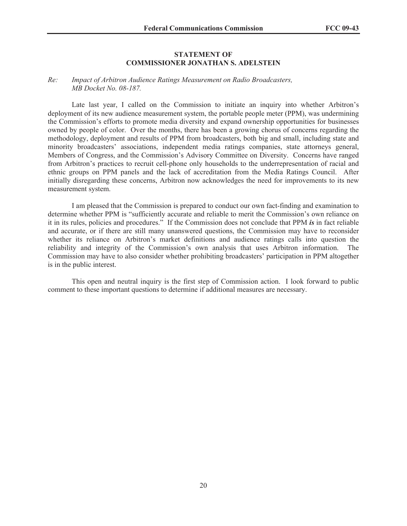### **STATEMENT OF COMMISSIONER JONATHAN S. ADELSTEIN**

#### *Re: Impact of Arbitron Audience Ratings Measurement on Radio Broadcasters, MB Docket No. 08-187.*

Late last year, I called on the Commission to initiate an inquiry into whether Arbitron's deployment of its new audience measurement system, the portable people meter (PPM), was undermining the Commission's efforts to promote media diversity and expand ownership opportunities for businesses owned by people of color. Over the months, there has been a growing chorus of concerns regarding the methodology, deployment and results of PPM from broadcasters, both big and small, including state and minority broadcasters' associations, independent media ratings companies, state attorneys general, Members of Congress, and the Commission's Advisory Committee on Diversity. Concerns have ranged from Arbitron's practices to recruit cell-phone only households to the underrepresentation of racial and ethnic groups on PPM panels and the lack of accreditation from the Media Ratings Council. After initially disregarding these concerns, Arbitron now acknowledges the need for improvements to its new measurement system.

I am pleased that the Commission is prepared to conduct our own fact-finding and examination to determine whether PPM is "sufficiently accurate and reliable to merit the Commission's own reliance on it in its rules, policies and procedures." If the Commission does not conclude that PPM *is* in fact reliable and accurate, or if there are still many unanswered questions, the Commission may have to reconsider whether its reliance on Arbitron's market definitions and audience ratings calls into question the reliability and integrity of the Commission's own analysis that uses Arbitron information. The Commission may have to also consider whether prohibiting broadcasters' participation in PPM altogether is in the public interest.

This open and neutral inquiry is the first step of Commission action. I look forward to public comment to these important questions to determine if additional measures are necessary.